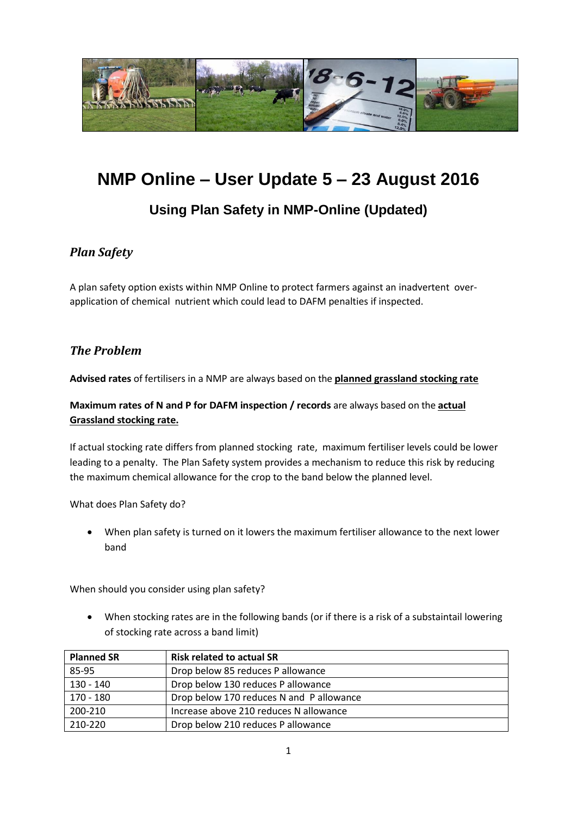

# **NMP Online – User Update 5 – 23 August 2016**

# **Using Plan Safety in NMP-Online (Updated)**

#### *Plan Safety*

A plan safety option exists within NMP Online to protect farmers against an inadvertent overapplication of chemical nutrient which could lead to DAFM penalties if inspected.

#### *The Problem*

**Advised rates** of fertilisers in a NMP are always based on the **planned grassland stocking rate**

#### **Maximum rates of N and P for DAFM inspection / records** are always based on the **actual Grassland stocking rate.**

If actual stocking rate differs from planned stocking rate, maximum fertiliser levels could be lower leading to a penalty. The Plan Safety system provides a mechanism to reduce this risk by reducing the maximum chemical allowance for the crop to the band below the planned level.

What does Plan Safety do?

 When plan safety is turned on it lowers the maximum fertiliser allowance to the next lower band

When should you consider using plan safety?

 When stocking rates are in the following bands (or if there is a risk of a substaintail lowering of stocking rate across a band limit)

| <b>Planned SR</b> | <b>Risk related to actual SR</b>         |
|-------------------|------------------------------------------|
| 85-95             | Drop below 85 reduces P allowance        |
| $130 - 140$       | Drop below 130 reduces P allowance       |
| $170 - 180$       | Drop below 170 reduces N and P allowance |
| 200-210           | Increase above 210 reduces N allowance   |
| 210-220           | Drop below 210 reduces P allowance       |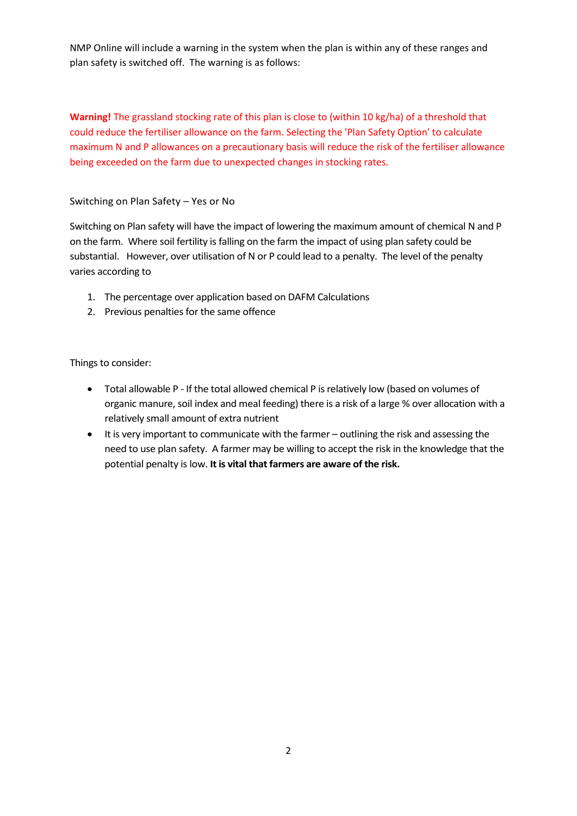NMP Online will include a warning in the system when the plan is within any of these ranges and plan safety is switched off. The warning is as follows:

**Warning!** The grassland stocking rate of this plan is close to (within 10 kg/ha) of a threshold that could reduce the fertiliser allowance on the farm. Selecting the 'Plan Safety Option' to calculate maximum N and P allowances on a precautionary basis will reduce the risk of the fertiliser allowance being exceeded on the farm due to unexpected changes in stocking rates.

Switching on Plan Safety – Yes or No

Switching on Plan safety will have the impact of lowering the maximum amount of chemical N and P on the farm. Where soil fertility is falling on the farm the impact of using plan safety could be substantial. However, over utilisation of N or P could lead to a penalty. The level of the penalty varies according to

- 1. The percentage over application based on DAFM Calculations
- 2. Previous penalties for the same offence

Things to consider:

- Total allowable P If the total allowed chemical P is relatively low (based on volumes of organic manure, soil index and meal feeding) there is a risk of a large % over allocation with a relatively small amount of extra nutrient
- It is very important to communicate with the farmer outlining the risk and assessing the need to use plan safety. A farmer may be willing to accept the risk in the knowledge that the potential penalty is low. **It is vital that farmers are aware of the risk.**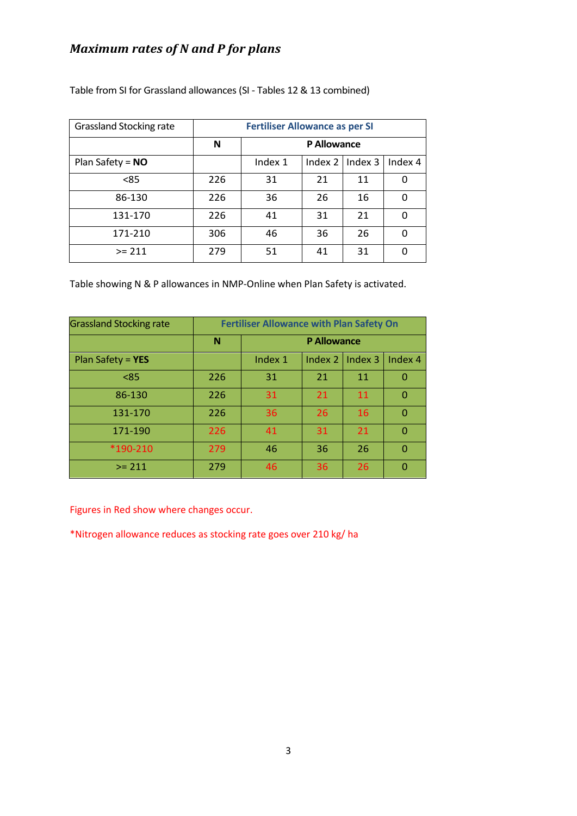## *Maximum rates of N and P for plans*

| <b>Grassland Stocking rate</b> | <b>Fertiliser Allowance as per SI</b> |             |    |                     |         |
|--------------------------------|---------------------------------------|-------------|----|---------------------|---------|
|                                | N                                     | P Allowance |    |                     |         |
| Plan Safety = $NO$             |                                       | Index 1     |    | Index $2$   Index 3 | Index 4 |
| < 85                           | 226                                   | 31          | 21 | 11                  | 0       |
| 86-130                         | 226                                   | 36          | 26 | 16                  | 0       |
| 131-170                        | 226                                   | 41          | 31 | 21                  | 0       |
| 171-210                        | 306                                   | 46          | 36 | 26                  | 0       |
| $>= 211$                       | 279                                   | 51          | 41 | 31                  | 0       |

Table from SI for Grassland allowances (SI - Tables 12 & 13 combined)

Table showing N & P allowances in NMP-Online when Plan Safety is activated.

| <b>Grassland Stocking rate</b> | <b>Fertiliser Allowance with Plan Safety On</b> |                    |         |         |          |
|--------------------------------|-------------------------------------------------|--------------------|---------|---------|----------|
|                                | N                                               | <b>P Allowance</b> |         |         |          |
| Plan Safety = $YES$            |                                                 | Index 1            | Index 2 | Index 3 | Index 4  |
| < 85                           | 226                                             | 31                 | 21      | 11      | O        |
| 86-130                         | 226                                             | 31                 | 21      | 11      | $\Omega$ |
| 131-170                        | 226                                             | 36                 | 26      | 16      | $\Omega$ |
| 171-190                        | 226                                             | 41                 | 31      | 21      | O        |
| *190-210                       | 279                                             | 46                 | 36      | 26      | $\Omega$ |
| $>= 211$                       | 279                                             | 46                 | 36      | 26      | O        |

Figures in Red show where changes occur.

\*Nitrogen allowance reduces as stocking rate goes over 210 kg/ ha